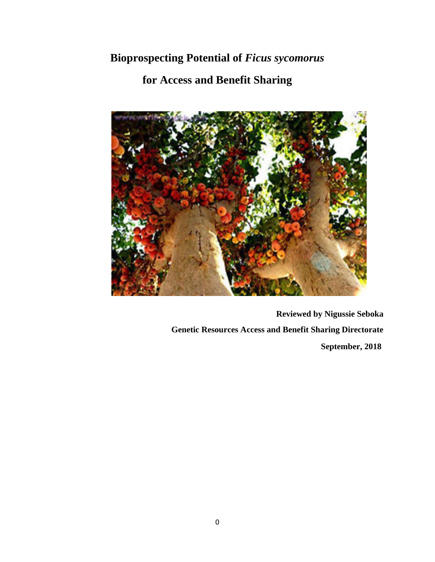# **Bioprospecting Potential of** *Ficus sycomorus*

# **for Access and Benefit Sharing**



**Reviewed by Nigussie Seboka Genetic Resources Access and Benefit Sharing Directorate September, 2018**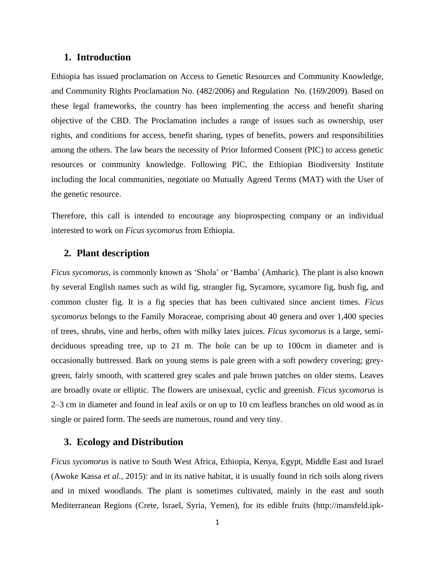### **1. Introduction**

Ethiopia has issued proclamation on Access to Genetic Resources and Community Knowledge, and Community Rights Proclamation No. (482/2006) and Regulation No. (169/2009). Based on these legal frameworks, the country has been implementing the access and benefit sharing objective of the CBD. The Proclamation includes a range of issues such as ownership, user rights, and conditions for access, benefit sharing, types of benefits, powers and responsibilities among the others. The law bears the necessity of Prior Informed Consent (PIC) to access genetic resources or community knowledge. Following PIC, the Ethiopian Biodiversity Institute including the local communities, negotiate on Mutually Agreed Terms (MAT) with the User of the genetic resource.

Therefore, this call is intended to encourage any bioprospecting company or an individual interested to work on *Ficus sycomorus* from Ethiopia.

### **2. Plant description**

*Ficus sycomorus,* is commonly known as 'Shola' or 'Bamba' (Amharic). The plant is also known by several English names such as wild fig, strangler fig, Sycamore, sycamore fig, bush fig, and common cluster fig. It is a fig species that has been cultivated since ancient times. *Ficus sycomorus* belongs to the Family Moraceae, comprising about 40 genera and over 1,400 species of trees, shrubs, vine and herbs, often with milky latex juices. *Ficus sycomorus* is a large, semideciduous spreading tree, up to 21 m. The bole can be up to 100cm in diameter and is occasionally buttressed. Bark on young stems is pale green with a soft powdery covering; greygreen, fairly smooth, with scattered grey scales and pale brown patches on older stems. Leaves are broadly ovate or elliptic. The flowers are unisexual, cyclic and greenish. *Ficus sycomorus* is 2–3 cm in diameter and found in leaf axils or on up to 10 cm leafless branches on old wood as in single or paired form. The seeds are numerous, round and very tiny.

## **3. Ecology and Distribution**

*Ficus sycomorus* is native to South West Africa, Ethiopia, Kenya, Egypt, Middle East and Israel (Awoke Kassa *et al.*, 2015): and in its native habitat, it is usually found in rich soils along rivers and in mixed woodlands. The plant is sometimes cultivated, mainly in the east and south Mediterranean Regions (Crete, Israel, Syria, Yemen), for its edible fruits [\(http://mansfeld.ipk-](http://mansfeld.ipk-gatersleben.de/)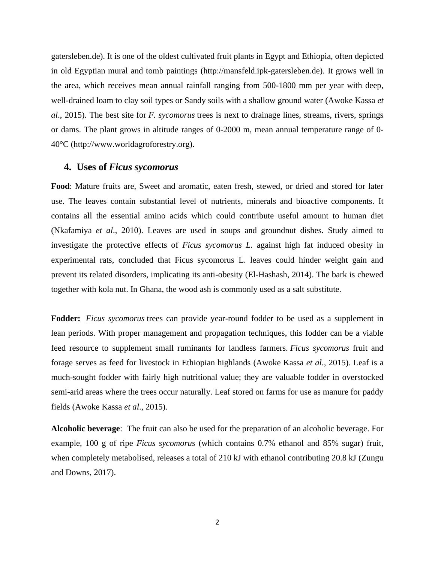[gatersleben.de\)](http://mansfeld.ipk-gatersleben.de/). It is one of the oldest cultivated fruit plants in Egypt and Ethiopia, often depicted in old Egyptian mural and tomb paintings [\(http://mansfeld.ipk-gatersleben.de\)](http://mansfeld.ipk-gatersleben.de/). It grows well in the area, which receives mean annual rainfall ranging from 500-1800 mm per year with deep, well-drained loam to clay soil types or Sandy soils with a shallow ground water (Awoke Kassa *et al*., 2015). The best site for *F. sycomorus* trees is next to drainage lines, streams, rivers, springs or dams. The plant grows in altitude ranges of 0-2000 m, mean annual temperature range of 0- 40°C (http://www.worldagroforestry.org).

#### **4. Uses of** *Ficus sycomorus*

**Food**: Mature fruits are, Sweet and aromatic, eaten fresh, stewed, or dried and stored for later use. The leaves contain substantial level of nutrients, minerals and bioactive components. It contains all the essential amino acids which could contribute useful amount to human diet (Nkafamiya *et al*., 2010). Leaves are used in soups and groundnut dishes. Study aimed to investigate the protective effects of *Ficus sycomorus L.* against high fat induced obesity in experimental rats, concluded that Ficus sycomorus L. leaves could hinder weight gain and prevent its related disorders, implicating its anti-obesity (El-Hashash, 2014). The bark is chewed together with kola nut. In Ghana, the wood ash is commonly used as a salt substitute.

**Fodder:** *Ficus sycomorus* trees can provide year-round fodder to be used as a supplement in lean periods. With proper management and propagation techniques, this fodder can be a viable feed resource to supplement small ruminants for landless farmers. *Ficus sycomorus* fruit and forage serves as feed for livestock in Ethiopian highlands (Awoke Kassa *et al.*, 2015). Leaf is a much-sought fodder with fairly high nutritional value; they are valuable fodder in overstocked semi-arid areas where the trees occur naturally. Leaf stored on farms for use as manure for paddy fields (Awoke Kassa *et al*., 2015).

**Alcoholic beverage**: The fruit can also be used for the preparation of an alcoholic beverage. For example, 100 g of ripe *Ficus sycomorus* (which contains 0.7% ethanol and 85% sugar) fruit, when completely metabolised, releases a total of 210 kJ with ethanol contributing 20.8 kJ (Zungu and Downs, 2017).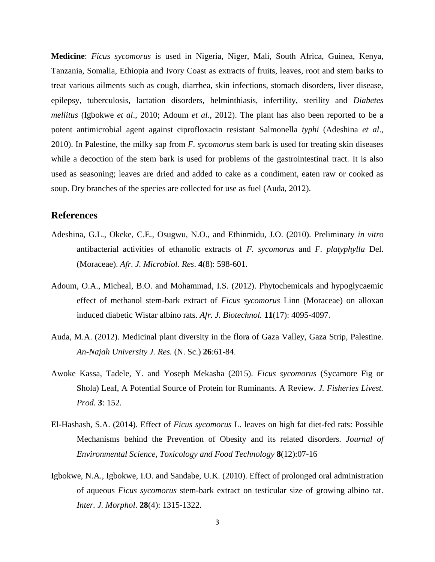**Medicine**: *Ficus sycomorus* is used in Nigeria, Niger, Mali, South Africa, Guinea, Kenya, Tanzania, Somalia, Ethiopia and Ivory Coast as extracts of fruits, leaves, root and stem barks to treat various ailments such as cough, diarrhea, skin infections, stomach disorders, liver disease, epilepsy, tuberculosis, lactation disorders, helminthiasis, infertility, sterility and *Diabetes mellitus* (Igbokwe *et al*., 2010; Adoum *et al*., 2012). The plant has also been reported to be a potent antimicrobial agent against ciprofloxacin resistant Salmonella *typhi* (Adeshina *et al*., 2010). In Palestine, the milky sap from *F. sycomorus* stem bark is used for treating skin diseases while a decoction of the stem bark is used for problems of the gastrointestinal tract. It is also used as seasoning; leaves are dried and added to cake as a condiment, eaten raw or cooked as soup. Dry branches of the species are collected for use as fuel (Auda, 2012).

### **References**

- Adeshina, G.L., Okeke, C.E., Osugwu, N.O., and Ethinmidu, J.O. (2010). Preliminary *in vitro*  antibacterial activities of ethanolic extracts of *F. sycomorus* and *F. platyphylla* Del. (Moraceae). *Afr. J. Microbiol. Res*. **4**(8): 598-601.
- Adoum, O.A., Micheal, B.O. and Mohammad, I.S. (2012). Phytochemicals and hypoglycaemic effect of methanol stem-bark extract of *Ficus sycomorus* Linn (Moraceae) on alloxan induced diabetic Wistar albino rats. *Afr. J. Biotechnol.* **11**(17): 4095-4097.
- Auda, M.A. (2012). Medicinal plant diversity in the flora of Gaza Valley, Gaza Strip, Palestine. *An-Najah University J. Res.* (N. Sc.) **26**:61-84.
- Awoke Kassa, Tadele, Y. and Yoseph Mekasha (2015). *Ficus sycomorus* (Sycamore Fig or Shola) Leaf, A Potential Source of Protein for Ruminants. A Review. *J. Fisheries Livest. Prod.* **3**: 152.
- El-Hashash, S.A. (2014). Effect of *Ficus sycomorus* L. leaves on high fat diet-fed rats: Possible Mechanisms behind the Prevention of Obesity and its related disorders*. Journal of Environmental Science, Toxicology and Food Technology* **8**(12):07-16
- Igbokwe, N.A., Igbokwe, I.O. and Sandabe, U.K. (2010). Effect of prolonged oral administration of aqueous *Ficus sycomorus* stem-bark extract on testicular size of growing albino rat. *Inter. J. Morphol*. **28**(4): 1315-1322.